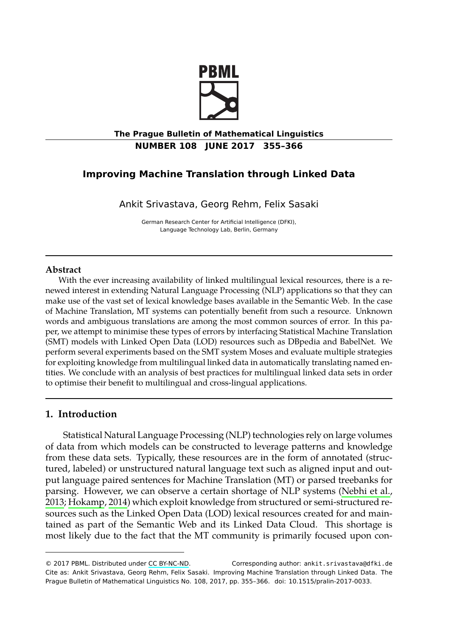

# **The Prague Bulletin of Mathematical Linguistics NUMBER 108 JUNE 2017 355–366**

# **Improving Machine Translation through Linked Data**

Ankit Srivastava, Georg Rehm, Felix Sasaki

German Research Center for Artificial Intelligence (DFKI), Language Technology Lab, Berlin, Germany

#### **Abstract**

With the ever increasing availability of linked multilingual lexical resources, there is a renewed interest in extending Natural Language Processing (NLP) applications so that they can make use of the vast set of lexical knowledge bases available in the Semantic Web. In the case of Machine Translation, MT systems can potentially benefit from such a resource. Unknown words and ambiguous translations are among the most common sources of error. In this paper, we attempt to minimise these types of errors by interfacing Statistical Machine Translation (SMT) models with Linked Open Data (LOD) resources such as DBpedia and BabelNet. We perform several experiments based on the SMT system Moses and evaluate multiple strategies for exploiting knowledge from multilingual linked data in automatically translating named entities. We conclude with an analysis of best practices for multilingual linked data sets in order to optimise their benefit to multilingual and cross-lingual applications.

# **1. Introduction**

 Statistical Natural Language Processing (NLP) technologies rely on large volumes of data from which models can be constructed to leverage patterns and knowledge from these data sets. Ty[pically, the](http://creativecommons.org/licenses/by-nc-nd/3.0/)se resources are in the form of annotated (structured, labeled) or unstructured natural language text such as aligned input and output language paired sentences for Machine Translation (MT) or parsed treebanks for parsing. However, we can observe a certain shortage of NLP systems (Nebhi et al., 2013; Hokamp, 2014) which exploit knowledge from structured or semi-structured resources such as the Linked Open Data (LOD) lexical resources created for and maintained as part of the Semantic Web and its Linked Data Cloud. This shortage is most likely due to the fact that the MT community is primarily focused upon con-

<sup>© 2017</sup> PBML. Distributed under CC BY-NC-ND. Corresponding author: ankit.srivastava@dfki.de Cite as: Ankit Srivastava, Georg Rehm, Felix Sasaki. Improving Machine Translation through Linked Data. The Prague Bulletin of Mathematical Linguistics No. 108, 2017, pp. 355–366. doi: 10.1515/pralin-2017-0033.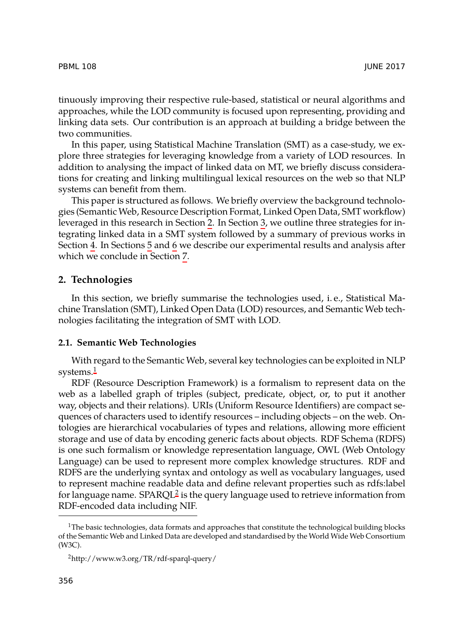## PBML 108 JUNE 2017

tinuously improving their respective rule-based, statistical or neural algorithms and approaches, while the LOD community is focused upon representing, providing and linking data sets. Our contribution [is](#page-1-0) an approa[ch](#page-4-0) at building a bridge between the two communities.

<span id="page-1-0"></span>In t[his](#page-6-0) paper, usin[g](#page-7-0) Stat[ist](#page-8-0)ical Machine Translation (SMT) as a case-study, we explore three strategies for leve[rag](#page-9-0)ing knowledge from a variety of LOD resources. In addition to analysing the impact of linked data on MT, we briefly discuss considerations for creating and linking multilingual lexical resources on the web so that NLP systems can benefit from them.

This paper is structured as follows. We briefly overview the background technologies (Semantic Web, Resource Description Format, Linked Open Data, SMT workflow) leveraged in this research in Section 2. In Section 3, we outline three strategies for integrating linked data in a SMT system followed by a summary of previous works in Section 4. In Sections 5 and 6 we describe our experimental results and analysis after which [we](#page-1-1) conclude in Section 7.

## **2. Technologies**

In this section, we briefly summarise the technologies used, i. e., Statistical Machine Translation (SMT), Linked Open Data (LOD) resources, and Semantic Web technologies facilitating the integration of SMT with LOD.

## **2.1. Semantic Web Technologies**

With regard to the Semantic Web, several key technologies can be exploited in NLP systems.<sup>1</sup>

<span id="page-1-2"></span><span id="page-1-1"></span>RDF (Resource Descripti[o](#page-1-2)n Framework) is a formalism to represent data on the web as a labelled graph of triples (subject, predicate, object, or, to put it another way, objects and their relations). URIs (Uniform Resource Identifiers) are compact sequences of characters used to identify resources – including objects – on the web. Ontologies are hierarchical vocabularies of types and relations, allowing more efficient storage and use of data by encoding generic facts about objects. RDF Schema (RDFS) is one such formalism or knowledge representation language, OWL (Web Ontology Language) can be used to represent more complex knowledge structures. RDF and RDFS are the underlying syntax and ontology as well as vocabulary languages, used to represent machine readable data and define relevant properties such as rdfs:label for language name.  $\text{SPARCL}^2$  is the query language used to retrieve information from RDF-encoded data including NIF.

 $1$ The basic technologies, data formats and approaches that constitute the technological building blocks of the Semantic Web and Linked Data are developed and standardised by the World Wide Web Consortium (W3C).

<sup>2</sup>http://www.w3.org/TR/rdf-sparql-query/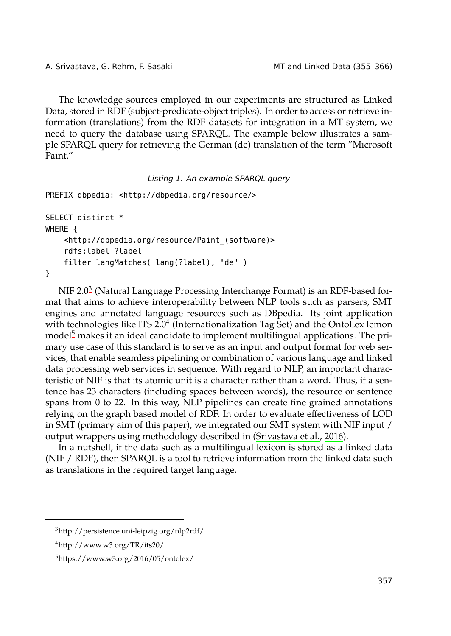```
A. Srivastava, G. Rehm, F. Sasaki MT and Linked Data (355–366)
```
The knowledge sources employed in our experiments are structured as Linked Data, stored in RDF (subject-predicate-object triples). In order to access or retrieve information (translations) from the RDF datasets for integration in a MT system, we need to query the database using SPARQL. The example below illustrates a sample SPARQL query for retrieving the German (de) translation of the term "Microsoft Paint."

*Listing 1. An example SPARQL query*

```
PREFIX dbpedia: <http://dbpedia.org/resource/>
```

```
SELECT distinct *
WHERE {
    <http://dbpedia.org/resource/Paint_(software)>
    rdfs:label ?label
    filter langMatches( lang(?label), "de" )
}
```
 $N$ IF 2.0 $^3$  (Natural Language Processing Interchange Format) is an RDF-based format that aims to achieve interoperability between NLP tools such as parsers, SMT engines and annotated language resources such as DBpedia. Its joint application with technologies like ITS 2.0 $^4$  (Internationalization Tag Set) and the OntoLex lemon model<sup>5</sup> makes it an ideal candidate to implement [multilingual applicatio](#page-11-0)ns. The primary use case of this standard is to serve as an input and output format for web services, that enable seamless pipelining or combination of various language and linked data processing web services in sequence. With regard to NLP, an important characteristic of NIF is that its atomic unit is a character rather than a word. Thus, if a sentence has 23 characters (including spaces between words), the resource or sentence spans from 0 to 22. In this way, NLP pipelines can create fine grained annotations relying on the graph based model of RDF. In order to evaluate effectiveness of LOD in SMT (primary aim of this paper), we integrated our SMT system with NIF input / output wrappers using methodology described in (Srivastava et al., 2016).

<span id="page-2-0"></span>In a nutshell, if the data such as a multilingual lexicon is stored as a linked data (NIF / RDF), then SPARQL is a tool to retrieve information from the linked data such as translations in the required target language.

<sup>3</sup>http://persistence.uni-leipzig.org/nlp2rdf/

 $4$ http://www.w3.org/TR/its20/

 $5$ https://www.w3.org/2016/05/ontolex/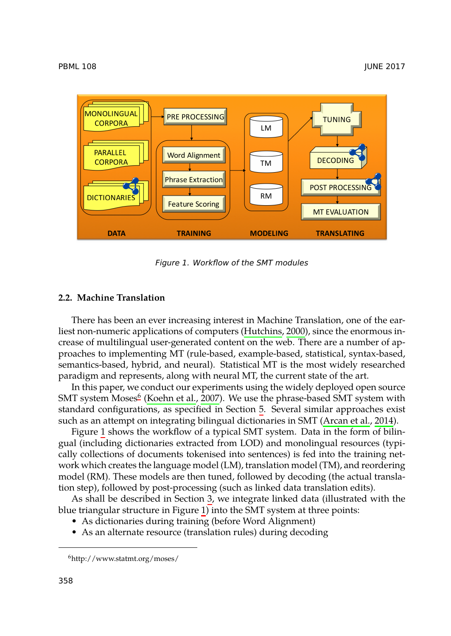

#### PBML 108 JUNE 2017



<span id="page-3-1"></span>*Figure 1. Workflow of the SMT modules*

## **2.2. Machine Tran[sl](#page-3-0)[ation](#page-10-0)**

There has been an ever increasing interest in Machine Transl[ation, one of the e](#page-9-1)arliest non-[nu](#page-3-1)meric applications of computers (Hutchins, 2000), since the enormous increase of multilingual user-generated content on the web. There are a number of approaches to implementing MT (rule-based, example-based, statistical, syntax-based, semantics-based, hybrid, and neural). Statistical MT is the most widely researched paradigm and represents, along with neural MT, the current state of the art.

In this paper, we conduct our experiments using the widely deployed open source  ${\rm SMT}$  system Moses $^6$  (Koehn et al., 2[00](#page-4-0)7). We use the phrase-based  ${\rm SMT}$  system with standard configurations, as speci[fie](#page-3-1)d in Section 5. Several similar approaches exist such as an attempt on integrating bilingual dictionaries in SMT (Arcan et al., 2014).

<span id="page-3-0"></span>Figure 1 shows the workflow of a typical SMT system. Data in the form of bilingual (including dictionaries extracted from LOD) and monolingual resources (typically collections of documents tokenised into sentences) is fed into the training network which creates the language model (LM), translation model (TM), and reordering model (RM). These models are then tuned, followed by decoding (the actual translation step), followed by post-processing (such as linked data translation edits).

As shall be described in Section 3, we integrate linked data (illustrated with the blue triangular structure in Figure 1) into the SMT system at three points:

- As dictionaries during training (before Word Alignment)
- As an alternate resource (translation rules) during decoding

<sup>6</sup>http://www.statmt.org/moses/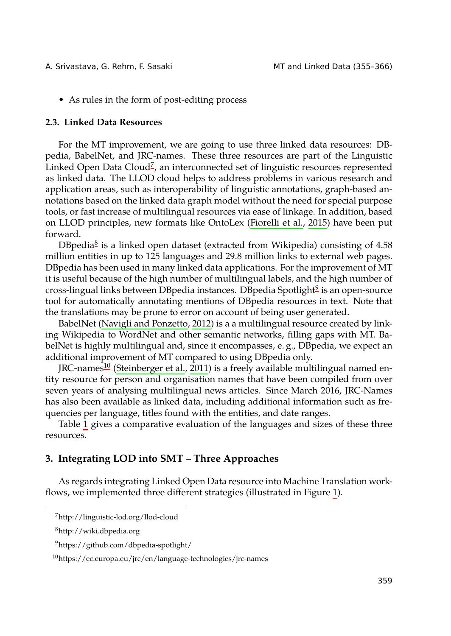A. Srivastava, G. Rehm, F. [Sa](#page-4-1)saki Manuel MT and Linked Data (355-366)

• As rules in the form of post-editing process

## **2.3. Linked Data Resources**

For the [M](#page-4-2)T improvement, we are going to use three linked data resources: DBpedia, BabelNet, and JRC-names. These three resources are part of the Linguistic Linked Open Data Cloud<sup>7</sup>, an interconnected set of linguistic resources represented as linked data. The LLOD cloud helps to address problems in v[ar](#page-4-3)ious research and application areas, such as interoperability of linguistic annotations, graph-based annotations based on the linked data graph model without the need for special purpose tools, or fast increase of multilingual resources via ease of linkage. In addition, based on LLOD pri[nciples, new formats like O](#page-10-1)ntoLex (Fiorelli et al., 2015) have been put forward.

DBpedia<sup>8</sup> is a linked open dataset (extracted from Wikipedia) consisting of 4.58 million entitie[s i](#page-4-4)n up to 125 languages and 29.8 million links to external web pages. DBpedia has bee[n used in many linked d](#page-11-1)ata applications. For the improvement of MT it is useful because of the high number of multilingual labels, and the high number of cross-lingual links between DBpedia instances. DBpedia Spotlight<sup>9</sup> is an open-source tool for automatically annotating mentions of DBpedia resources in text. Note that the translations may be prone to error on account of being user generated.

Babel[N](#page-5-0)et (Navigli and Ponzetto, 2012) is a a multilingual resource created by linking Wikipedia to WordNet and other semantic networks, filling gaps with MT. BabelNet is highly multilingual and, since it encompasses, e. g., DBpedia, we expect an additional improvement of MT compared to using DBpedia only.

<span id="page-4-0"></span>JRC-names<sup>10</sup> (Steinberger et al., 2011) is a freely available multilingual named entity resource for person and organisation names that have been compiled from over seven years of analysing multilingual news articles. Since March 20[16](#page-3-1), JRC-Names has also been available as linked data, including additional information such as frequencies per language, titles found with the entities, and date ranges.

<span id="page-4-3"></span><span id="page-4-2"></span><span id="page-4-1"></span>Table 1 gives a comparative evaluation of the languages and sizes of these three resources.

## <span id="page-4-4"></span>**3. Integrating LOD into SMT – Three Approaches**

As regards integrating Linked Open Data resource into Machine Translation workflows, we implemented three different strategies (illustrated in Figure 1).

<sup>7</sup>http://linguistic-lod.org/llod-cloud

<sup>8</sup>http://wiki.dbpedia.org

<sup>9</sup>https://github.com/dbpedia-spotlight/

<sup>10</sup>https://ec.europa.eu/jrc/en/language-technologies/jrc-names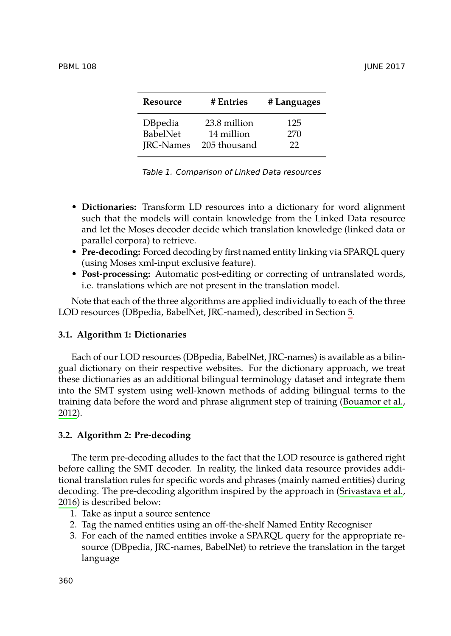<span id="page-5-0"></span>

| Resource         | # Entries    | # Languages |
|------------------|--------------|-------------|
| <b>DBpedia</b>   | 23.8 million | 125         |
| <b>BabelNet</b>  | 14 million   | 270         |
| <b>IRC-Names</b> | 205 thousand | 22          |

*Table 1. Comparison of Linked Data resources*

- **Dictionaries:** Transform LD resources into a dictionary for w[or](#page-7-0)d alignment such that the models will contain knowledge from the Linked Data resource and let the Moses decoder decide which translation knowledge (linked data or parallel corpora) to retrieve.
- **Pre-decoding:** Forced decoding by first named entity linking via SPARQL query (using Moses xml-input exclusive feature).
- **Post-processing:** Automatic post-editing or correcting of untranslated words, i.e. translations which are not present in the translation model.

Note that each of the three algorithms are applied individually to e[ach of the three](#page-10-2) [LOD](#page-10-2) resources (DBpedia, BabelNet, JRC-named), described in Section 5.

## **3.1. Algorithm 1: Dictionaries**

Each of our LOD resources (DBpedia, BabelNet, JRC-names) is available as a bilingual dictionary on their respective websites. For the dictionary approach, we treat these dictionaries as an additional bilingual terminology dataset and integrate them into the SMT system using well-known methods of adding biling[ual terms to the](#page-11-0) [train](#page-11-0)ing data before the word and phrase alignment step of training (Bouamor et al., 2012).

## **3.2. Algorithm 2: Pre-decoding**

The term pre-decoding alludes to the fact that the LOD resource is gathered right before calling the SMT decoder. In reality, the linked data resource provides additional translation rules for specific words and phrases (mainly named entities) during decoding. The pre-decoding algorithm inspired by the approach in (Srivastava et al., 2016) is described below:

- 1. Take as input a source sentence
- 2. Tag the named entities using an off-the-shelf Named Entity Recogniser
- 3. For each of the named entities invoke a SPARQL query for the appropriate resource (DBpedia, JRC-names, BabelNet) to retrieve the translation in the target language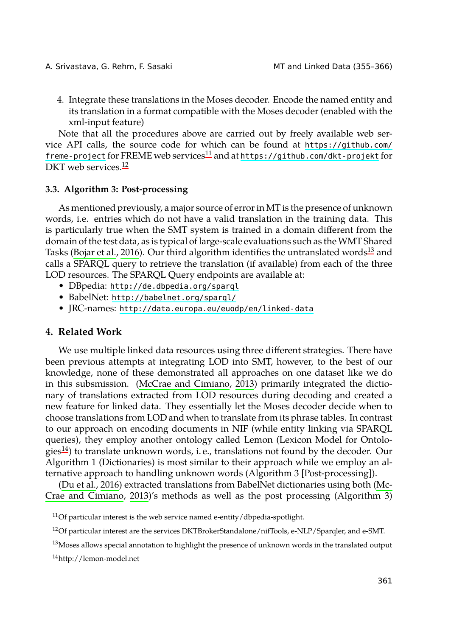A. Srivastava, G. R[ehm](#page-6-1), F. Sasaki MT and Linked Data (355–366)

4. Integrate these translations in the Moses decoder. Encode the named entity and its translation in a format compatible with the Moses decoder (enabled with the xml-input feature)

Note that all the procedures above are carried out by freely available web service A[PI calls, the sou](#page-9-2)rce code for which can be found at https://githu[b.c](#page-6-2)om/ freme-project for FREME web services<sup>11</sup> and at https://github.com/dkt-projekt for DKT web services.<sup>12</sup>

#### **3.3. Algorithm [3: Post-processing](http://babelnet.org/sparql/)**

<span id="page-6-0"></span>As mentioned [previously, a major source of error in MT is the pr](http://data.europa.eu/euodp/en/linked-data)esence of unknown words, i.e. entries which do not have a valid translation in the training data. This is particularly true when the SMT system is trained in a domain different from the domain of the test data, as is typical of large-scale evaluations such as the WMT Shared Tasks (Bojar et al., 2016). Our third algorithm identifies the untranslated words<sup>13</sup> and calls a SPARQL query to retrieve the translation (if available) from each of the three LOD resources. The S[PARQL Query endpoin](#page-10-3)t[s are](#page-10-3) available at:

- DBpedia: http://de.dbpedia.org/sparql
- BabelNet: http://babelnet.org/sparql/
- JRC-names: http://data.europa.eu/euodp/en/linked-data

## **4. Related Work**

[We](#page-6-3) use multiple linked data resources using three different strategies. There have been previous attempts at integrating LOD into SMT, however, to the best of our knowledge, none of these demonstrated all approaches on one dataset like we do in t[his subsmissio](#page-10-4)n. (McCrae and Cimiano, 2013) primarily integrated the di[ctio](#page-10-3)[nary of translation](#page-10-3)s [extra](#page-10-3)cted from LOD resources during decoding and created a new feature for linked data. They essentially let the Moses decoder decide when to choose translations from LOD and when to translate from its phrase tables. In contrast to our approach on encoding documents in NIF (while entity linking via SPARQL queries), they employ another ontology called Lemon (Lexicon Model for Ontolo- $\gamma$  gies<sup>14</sup>) to translate unknown words, i.e., translations not found by the decoder. Our Algorithm 1 (Dictionaries) is most similar to their approach while we employ an alternative approach to handling unknown words (Algorithm 3 [Post-processing]).

<span id="page-6-3"></span><span id="page-6-2"></span><span id="page-6-1"></span>(Du et al., 2016) extracted translations from BabelNet dictionaries using both (Mc-Crae and Cimiano, 2013)'s methods as well as the post processing (Algorithm 3)

<sup>11</sup>Of particular interest is the web service named e-entity/dbpedia-spotlight.

<sup>12</sup>Of particular interest are the services DKTBrokerStandalone/nifTools, e-NLP/Sparqler, and e-SMT.

 $13$  Moses allows special annotation to highlight the presence of unknown words in the translated output

<sup>14</sup>http://lemon-model.net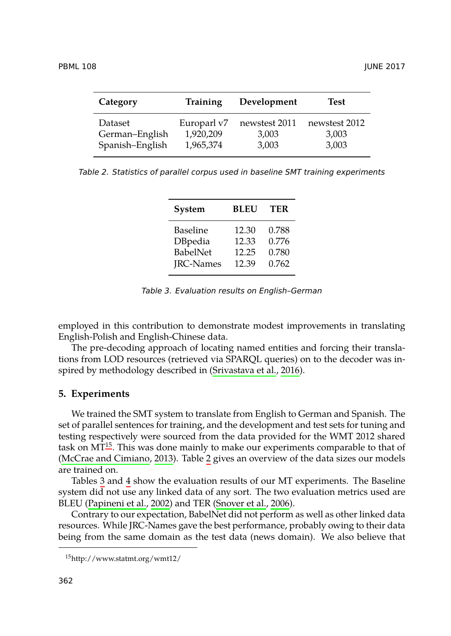<span id="page-7-2"></span>

| Category        | Training    | Development   | Test          |
|-----------------|-------------|---------------|---------------|
| Dataset         | Europarl v7 | newstest 2011 | newstest 2012 |
| German-English  | 1,920,209   | 3,003         | 3,003         |
| Spanish-English | 1,965,374   | 3,003         | 3,003         |

*Table 2. Statistics of parallel corpus used in baseline SMT training experiments*

<span id="page-7-3"></span>

| System           | <b>BLEU</b> | TER   |
|------------------|-------------|-------|
| Baseline         | 12.30       | 0.788 |
| DBpedia          | 12.33       | 0.776 |
| BabelNet         | 12.25       | 0.780 |
| <b>IRC-Names</b> | 12.39       | 0.762 |

*Table 3. Evaluation results on English–German*

<span id="page-7-0"></span>employed in this contribution to demonstrate modest improvements in translating English-Pol[ish](#page-7-1) and English-Chinese data.

[The pre-decoding approa](#page-10-3)ch of l[oc](#page-7-2)ating named entities and forcing their translations from LOD resources (retrieved via SPARQL queries) on to the decoder was inspired by [m](#page-7-3)etho[d](#page-8-1)ology described in (Srivastava et al., 2016).

## **5. Ex[periments](#page-11-2)**

We trained the SMT system to translate from English to German and Spanish. The set of parallel sentences for training, and the development and test sets for tuning and testing respectively were sourced from the data provided for the WMT 2012 shared task on  $MT^{15}$ . This was done mainly to make our experiments comparable to that of (McCrae and Cimiano, 2013). Table 2 gives an overview of the data sizes our models are trained on.

<span id="page-7-1"></span>Tables 3 and 4 show the evaluation results of our MT experiments. The Baseline system did not use any linked data of any sort. The two evaluation metrics used are BLEU (Papineni et al., 2002) and TER (Snover et al., 2006).

Contrary to our expectation, BabelNet did not perform as well as other linked data resources. While JRC-Names gave the best performance, probably owing to their data being from the same domain as the test data (news domain). We also believe that

<sup>15</sup>http://www.statmt.org/wmt12/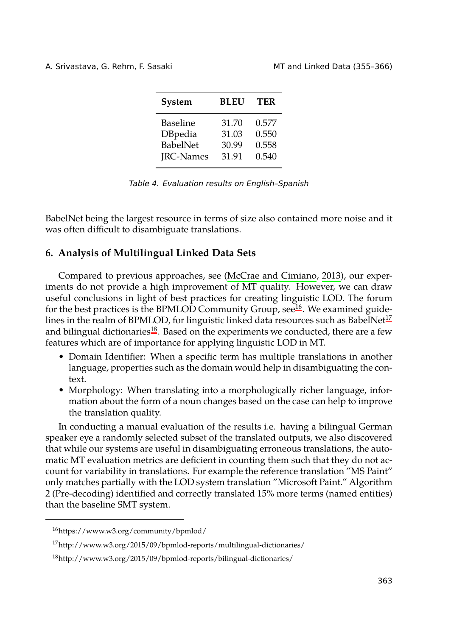A. Srivastava, G. Rehm, F. Sasaki MT and Linked Data (355–366)

<span id="page-8-1"></span>

| System           | <b>BLEU</b> | TER   |
|------------------|-------------|-------|
| <b>Baseline</b>  | 31.70       | 0.577 |
| DBpedia          | 31.03       | 0.550 |
| <b>BabelNet</b>  | 30.99       | 0.558 |
| <b>JRC-Names</b> | 31.91       | 0.540 |

*Table 4. Evaluation results on English–Spanish*

<span id="page-8-0"></span>BabelNet being the large[st r](#page-8-3)esource in terms of size also contained more noise and [it](#page-8-2) was often difficult to disambiguate translations.

# **6. Analysis of Multilingual Linked Data Sets**

Compared to previous approaches, see (McCrae and Cimiano, 2013), our experiments do not provide a high improvement of MT quality. However, we can draw useful conclusions in light of best practices for creating linguistic LOD. The forum for the best practices is the BPMLOD Community Group, see<sup>16</sup>. We examined guidelines in the realm of BPMLOD, for linguistic linked data resources such as BabelNet<sup>17</sup> and bilingual dictionaries<sup>18</sup>. Based on the experiments we conducted, there are a few features which are of importance for applying linguistic LOD in MT.

- Domain Identifier: When a specific term has multiple translations in another language, properties such as the domain would help in disambiguating the context.
- Morphology: When translating into a morphologically richer language, information about the form of a noun changes based on the case can help to improve the translation quality.

<span id="page-8-3"></span><span id="page-8-2"></span>In conducting a manual evaluation of the results i.e. having a bilingual German speaker eye a randomly selected subset of the translated outputs, we also discovered that while our systems are useful in disambiguating erroneous translations, the automatic MT evaluation metrics are deficient in counting them such that they do not account for variability in translations. For example the reference translation "MS Paint" only matches partially with the LOD system translation "Microsoft Paint." Algorithm 2 (Pre-decoding) identified and correctly translated 15% more terms (named entities) than the baseline SMT system.

<sup>16</sup>https://www.w3.org/community/bpmlod/

<sup>17</sup>http://www.w3.org/2015/09/bpmlod-reports/multilingual-dictionaries/

<sup>18</sup>http://www.w3.org/2015/09/bpmlod-reports/bilingual-dictionaries/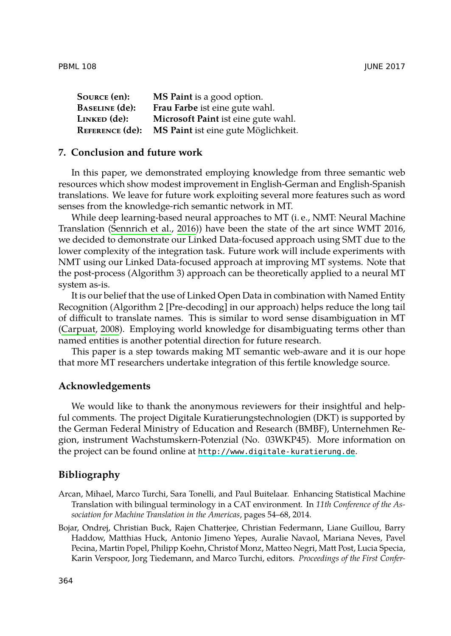<span id="page-9-0"></span>PBML 108 JUNE 2017

| Source (en):           | <b>MS Paint</b> is a good option.   |
|------------------------|-------------------------------------|
| <b>BASELINE</b> (de):  | Frau Farbe ist eine gute wahl.      |
| Linked (de):           | Microsoft Paint ist eine gute wahl. |
| <b>REFERENCE (de):</b> | MS Paint ist eine gute Möglichkeit. |

## **7. Conclusion and future work**

In this paper, we demonstrated employing knowledge from three semantic web resources which show modest improvement in English-German and English-Spanish translations. We leave for future work exploiting several more features such as word senses from the knowledge-rich semantic network in MT.

While deep learning-based neural approaches to MT (i. e., NMT: Neural Machine [Translation \(Se](#page-10-5)nnrich et al., 2016)) have been the state of the art since WMT 2016, we decided to demonstrate our Linked Data-focused approach using SMT due to the lower complexity of the integration task. Future work will include experiments with NMT using our Linked Data-focused approach at improving MT systems. Note that the post-process (Algorithm 3) approach can be theoretically applied to a neural MT system as-is.

It is our belief that the use of Linked Open Data in combination with Named Entity Recognition (Algorithm 2 [Pre-decoding] in our approach) helps reduce the long tail of difficult to translate names. This is similar to word sense disambiguation in MT (Carpuat, 2008). Employing world knowledge for disambiguating terms other than named entities is another potential direction for future research.

This paper is a step towards [making MT semantic web-aware and it](http://www.digitale-kuratierung.de) is our hope that more MT researchers undertake integration of this fertile knowledge source.

### <span id="page-9-1"></span>**Acknowledgements**

<span id="page-9-2"></span>We would like to thank the anonymous reviewers for their insightful and helpful comments. The project Digitale Kuratierungstechnologien (DKT) is supported by the German Federal Ministry of Education and Research (BMBF), Unternehmen Region, instrument Wachstumskern-Potenzial (No. 03WKP45). More information on the project can be found online at http://www.digitale-kuratierung.de.

## **Bibliography**

- Arcan, Mihael, Marco Turchi, Sara Tonelli, and Paul Buitelaar. Enhancing Statistical Machine Translation with bilingual terminology in a CAT environment. In *11th Conference of the Association for Machine Translation in the Americas*, pages 54–68, 2014.
- Bojar, Ondrej, Christian Buck, Rajen Chatterjee, Christian Federmann, Liane Guillou, Barry Haddow, Matthias Huck, Antonio Jimeno Yepes, Auralie Navaol, Mariana Neves, Pavel Pecina, Martin Popel, Philipp Koehn, Christof Monz, Matteo Negri, Matt Post, Lucia Specia, Karin Verspoor, Jorg Tiedemann, and Marco Turchi, editors. *Proceedings of the First Confer-*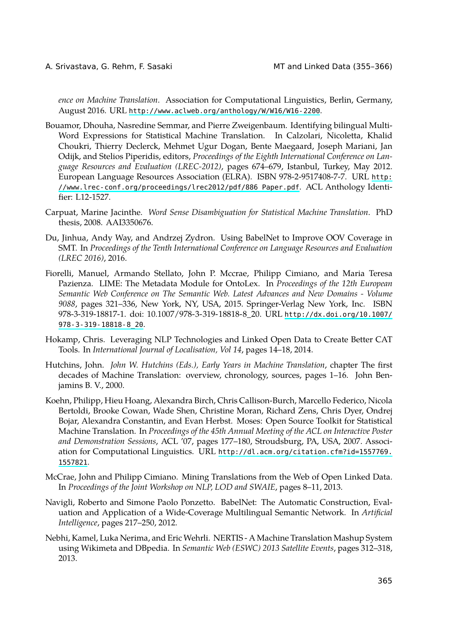<span id="page-10-2"></span>A. Srivastava, G. Rehm, F. Sasaki MT and Linked Data (355[–366\)](http://www.lrec-conf.org/proceedings/lrec2012/pdf/886_Paper.pdf)

<span id="page-10-5"></span>*ence on Machine Translation*. Association for Computational Linguistics, Berlin, Germany, August 2016. URL http://www.aclweb.org/anthology/W/W16/W16-2200.

- <span id="page-10-4"></span>Bouamor, Dhouha, Nasredine Semmar, and Pierre Zweigenbaum. Identifying bilingual Multi-Word Expressions for Statistical Machine Translation. In Calzolari, Nicoletta, Khalid Choukri, Thierry Declerck, Mehmet Ugur Dogan, Bente Maegaard, Joseph Mariani, Jan Odijk, and Stelios Piperidis, editors, *Proceedings of the Eighth International Conference on Language Resources and Evaluation (LREC-2012)*, pages 674–679, Istanbul, Turkey, May 2012. European Language Resources Association (ELRA). ISBN 978-2-9517408-7-7. URL http: //www.lrec-conf.org/proceedings/lrec2012/pdf/886\_Paper.pdf. ACL Anthology Identifier: L12-1527.
- Carpuat, Marine Jacinthe. *Word Sense Disambiguation for Statist[ical Machine Translation](http://dx.doi.org/10.1007/978-3-319-18818-8_20)*. PhD [thesis, 2008. AAI335067](http://dx.doi.org/10.1007/978-3-319-18818-8_20)6.
- Du, Jinhua, Andy Way, and Andrzej Zydron. Using BabelNet to Improve OOV Coverage in SMT. In *Proceedings of the Tenth International Conference on Language Resources and Evaluation (LREC 2016)*, 2016.
- <span id="page-10-0"></span>Fiorelli, Manuel, Armando Stellato, John P. Mccrae, Philipp Cimiano, and Maria Teresa Pazienza. LIME: The Metadata Module for OntoLex. In *Proceedings of the 12th European Semantic Web Conference on The Semantic Web. Latest Advances and New Domains - Volume 9088*, pages 321–336, New York, NY, USA, 2015. Springer-Verlag New York, Inc. ISBN 978-3-319-18817-1. doi: 10.1007/978-3-319-18818-8\_20. URL http://dx.doi.org/10.1007/ 978-3-319-18818-8\_20.
- Hokamp, Chris. Leveraging NLP Technologies and Linked Open Data to Create Better CAT Tools. In *International Journal of Localisation, Vol 14*[, pages 14–18, 2014.](http://dl.acm.org/citation.cfm?id=1557769.1557821)
- <span id="page-10-3"></span>Hu[tchins, Jo](http://dl.acm.org/citation.cfm?id=1557769.1557821)hn. *John W. Hutchins (Eds.), Early Years in Machine Translation*, chapter The first decades of Machine Translation: overview, chronology, sources, pages 1–16. John Benjamins B. V., 2000.
- <span id="page-10-1"></span>Koehn, Philipp, Hieu Hoang, Alexandra Birch, Chris Callison-Burch, Marcello Federico, Nicola Bertoldi, Brooke Cowan, Wade Shen, Christine Moran, Richard Zens, Chris Dyer, Ondrej Bojar, Alexandra Constantin, and Evan Herbst. Moses: Open Source Toolkit for Statistical Machine Translation. In *Proceedings of the 45th Annual Meeting of the ACL on Interactive Poster and Demonstration Sessions*, ACL '07, pages 177–180, Stroudsburg, PA, USA, 2007. Association for Computational Linguistics. URL http://dl.acm.org/citation.cfm?id=1557769. 1557821.
- McCrae, John and Philipp Cimiano. Mining Translations from the Web of Open Linked Data. In *Proceedings of the Joint Workshop on NLP, LOD and SWAIE*, pages 8–11, 2013.
- Navigli, Roberto and Simone Paolo Ponzetto. BabelNet: The Automatic Construction, Evaluation and Application of a Wide-Coverage Multilingual Semantic Network. In *Artificial Intelligence*, pages 217–250, 2012.
- Nebhi, Kamel, Luka Nerima, and Eric Wehrli. NERTIS A Machine Translation Mashup System using Wikimeta and DBpedia. In *Semantic Web (ESWC) 2013 Satellite Events*, pages 312–318, 2013.